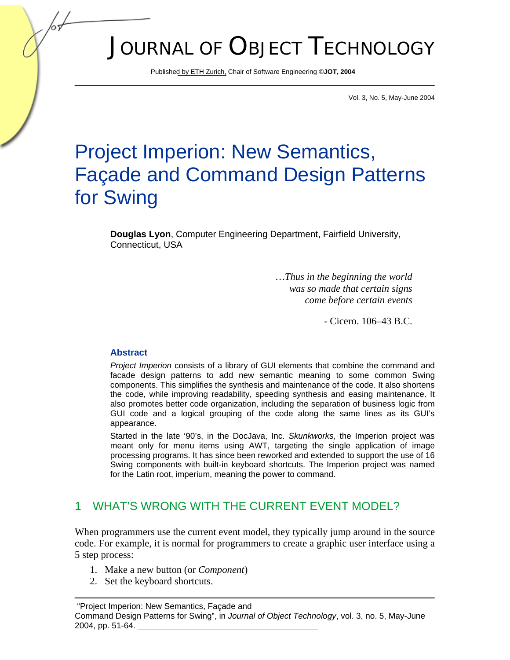# JOURNAL OF OBJECT TECHNOLOGY

Publis[hed by ETH Zurich, C](http://www.jot.fm)hair of Software Engineering ©**JOT, 2004** 

Vol. 3, No. 5, May-June 2004

# Project Imperion: New Semantics, Façade and Command Design Patterns for Swing

**Douglas Lyon**, Computer Engineering Department, Fairfield University, Connecticut, USA

> *…Thus in the beginning the world was so made that certain signs come before certain events*

> > - Cicero. 106–43 B.C.

#### **Abstract**

*Project Imperion* consists of a library of GUI elements that combine the command and facade design patterns to add new semantic meaning to some common Swing components. This simplifies the synthesis and maintenance of the code. It also shortens the code, while improving readability, speeding synthesis and easing maintenance. It also promotes better code organization, including the separation of business logic from GUI code and a logical grouping of the code along the same lines as its GUI's appearance.

Started in the late '90's, in the DocJava, Inc. *Skunkworks*, the Imperion project was meant only for menu items using AWT, targeting the single application of image processing programs. It has since been reworked and extended to support the use of 16 Swing components with built-in keyboard shortcuts. The Imperion project was named for the Latin root, imperium, meaning the power to command.

#### 1 WHAT'S WRONG WITH THE CURRENT EVENT MODEL?

When programmers use the current event model, they typically jump around in the source code. For example, it is normal for programmers to create a graphic user interface using a 5 step process:

- 1. Make a new button (or *Component*)
- 2. Set the keyboard shortcuts.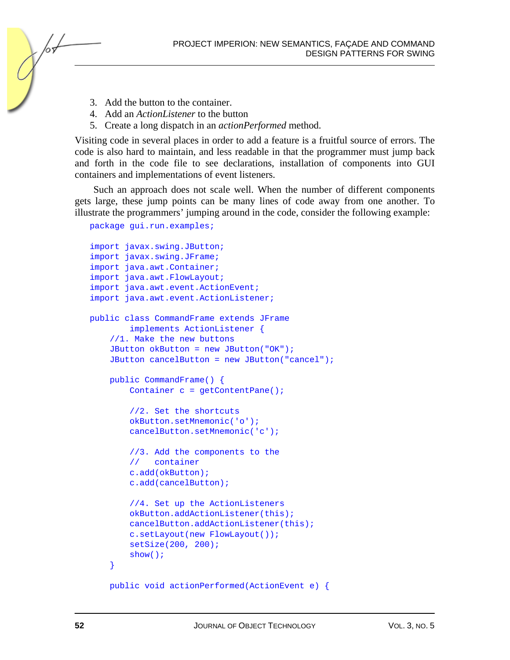

- 3. Add the button to the container.
- 4. Add an *ActionListener* to the button
- 5. Create a long dispatch in an *actionPerformed* method.

Visiting code in several places in order to add a feature is a fruitful source of errors. The code is also hard to maintain, and less readable in that the programmer must jump back and forth in the code file to see declarations, installation of components into GUI containers and implementations of event listeners.

Such an approach does not scale well. When the number of different components gets large, these jump points can be many lines of code away from one another. To illustrate the programmers' jumping around in the code, consider the following example:

```
package gui.run.examples;
```

```
import javax.swing.JButton; 
import javax.swing.JFrame; 
import java.awt.Container; 
import java.awt.FlowLayout; 
import java.awt.event.ActionEvent; 
import java.awt.event.ActionListener; 
public class CommandFrame extends JFrame 
         implements ActionListener { 
     //1. Make the new buttons 
     JButton okButton = new JButton("OK"); 
     JButton cancelButton = new JButton("cancel"); 
     public CommandFrame() { 
         Container c = getContentPane(); 
         //2. Set the shortcuts 
         okButton.setMnemonic('o'); 
         cancelButton.setMnemonic('c'); 
         //3. Add the components to the 
         // container 
         c.add(okButton); 
         c.add(cancelButton); 
         //4. Set up the ActionListeners 
         okButton.addActionListener(this); 
         cancelButton.addActionListener(this); 
         c.setLayout(new FlowLayout()); 
         setSize(200, 200); 
         show(); 
     }
```

```
 public void actionPerformed(ActionEvent e) {
```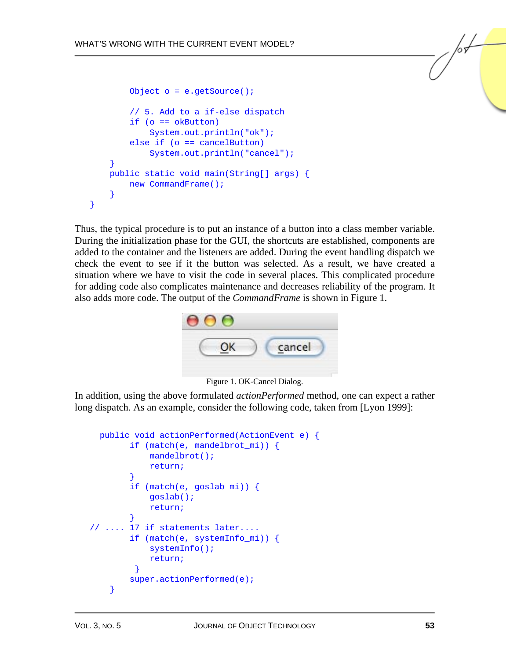```
 Object o = e.getSource(); 
         // 5. Add to a if-else dispatch 
         if (o == okButton) 
              System.out.println("ok"); 
         else if (o == cancelButton) 
              System.out.println("cancel"); 
     } 
     public static void main(String[] args) { 
         new CommandFrame(); 
 } 
}
```
Thus, the typical procedure is to put an instance of a button into a class member variable. During the initialization phase for the GUI, the shortcuts are established, components are added to the container and the listeners are added. During the event handling dispatch we check the event to see if it the button was selected. As a result, we have created a situation where we have to visit the code in several places. This complicated procedure for adding code also complicates maintenance and decreases reliability of the program. It also adds more code. The output of the *CommandFrame* is shown in Figure 1.



Figure 1. OK-Cancel Dialog.

In addition, using the above formulated *actionPerformed* method, one can expect a rather long dispatch. As an example, consider the following code, taken from [Lyon 1999]:

```
 public void actionPerformed(ActionEvent e) { 
         if (match(e, mandelbrot_mi)) { 
             mandelbrot(); 
             return; 
 } 
         if (match(e, goslab_mi)) { 
             goslab(); 
             return; 
 } 
// .... 17 if statements later.... 
         if (match(e, systemInfo_mi)) { 
             systemInfo(); 
             return; 
 } 
        super.actionPerformed(e);
     }
```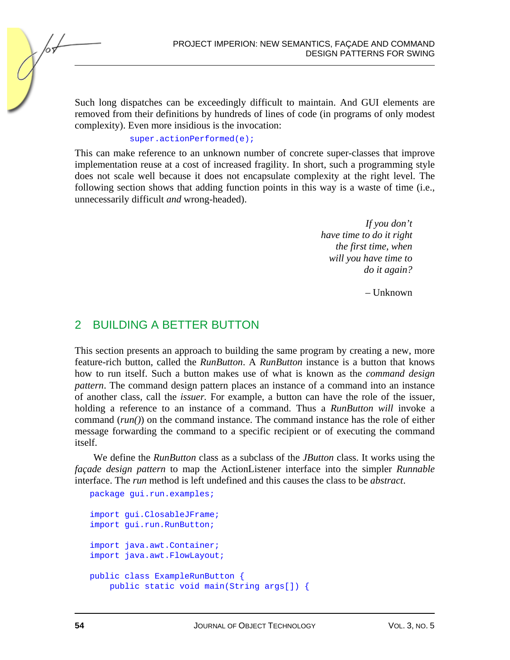Such long dispatches can be exceedingly difficult to maintain. And GUI elements are removed from their definitions by hundreds of lines of code (in programs of only modest complexity). Even more insidious is the invocation:

#### super.actionPerformed(e);

This can make reference to an unknown number of concrete super-classes that improve implementation reuse at a cost of increased fragility. In short, such a programming style does not scale well because it does not encapsulate complexity at the right level. The following section shows that adding function points in this way is a waste of time (i.e., unnecessarily difficult *and* wrong-headed).

> *If you don't have time to do it right the first time, when will you have time to do it again?*

> > – Unknown

### 2 BUILDING A BETTER BUTTON

This section presents an approach to building the same program by creating a new, more feature-rich button, called the *RunButton*. A *RunButton* instance is a button that knows how to run itself. Such a button makes use of what is known as the *command design pattern*. The command design pattern places an instance of a command into an instance of another class, call the *issuer.* For example, a button can have the role of the issuer, holding a reference to an instance of a command. Thus a *RunButton will* invoke a command (*run()*) on the command instance. The command instance has the role of either message forwarding the command to a specific recipient or of executing the command itself.

We define the *RunButton* class as a subclass of the *JButton* class. It works using the *façade design pattern* to map the ActionListener interface into the simpler *Runnable* interface. The *run* method is left undefined and this causes the class to be *abstract*.

```
package gui.run.examples;
import gui.ClosableJFrame; 
import gui.run.RunButton; 
import java.awt.Container; 
import java.awt.FlowLayout; 
public class ExampleRunButton { 
     public static void main(String args[]) {
```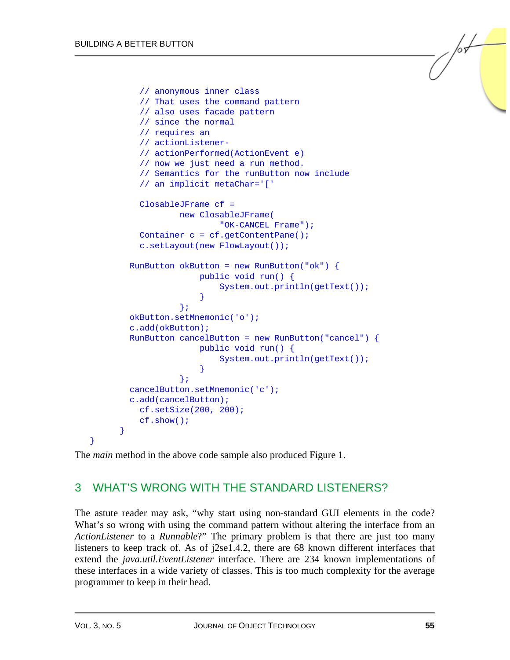```
 // anonymous inner class 
                // That uses the command pattern 
                // also uses facade pattern 
                // since the normal 
                // requires an 
               // actionListener- 
                // actionPerformed(ActionEvent e) 
                // now we just need a run method. 
                // Semantics for the runButton now include 
                // an implicit metaChar='[' 
                ClosableJFrame cf = 
                            new ClosableJFrame( 
                                        "OK-CANCEL Frame"); 
               Container c = cf.getContentPlane();
                c.setLayout(new FlowLayout()); 
           RunButton okButton = new RunButton("ok") \{ public void run() { 
                                        System.out.println(getText()); 
 } 
\} ; and the set of the set of the set of the set of the set of the set of the set of the set of the set of the set of the set of the set of the set of the set of the set of the set of the set of the set of the set of t
            okButton.setMnemonic('o'); 
            c.add(okButton); 
            RunButton cancelButton = new RunButton("cancel") { 
                                  public void run() { 
                                        System.out.println(getText()); 
 } 
\} ; and the set of the set of the set of the set of the set of the set of the set of the set of the set of the set of the set of the set of the set of the set of the set of the set of the set of the set of the set of t
            cancelButton.setMnemonic('c'); 
            c.add(cancelButton); 
               cf.setSize(200, 200); 
                cf.show(); 
          } 
}
```
The *main* method in the above code sample also produced Figure 1.

# 3 WHAT'S WRONG WITH THE STANDARD LISTENERS?

The astute reader may ask, "why start using non-standard GUI elements in the code? What's so wrong with using the command pattern without altering the interface from an *ActionListener* to a *Runnable*?" The primary problem is that there are just too many listeners to keep track of. As of j2se1.4.2, there are 68 known different interfaces that extend the *java.util.EventListener* interface. There are 234 known implementations of these interfaces in a wide variety of classes. This is too much complexity for the average programmer to keep in their head.

/or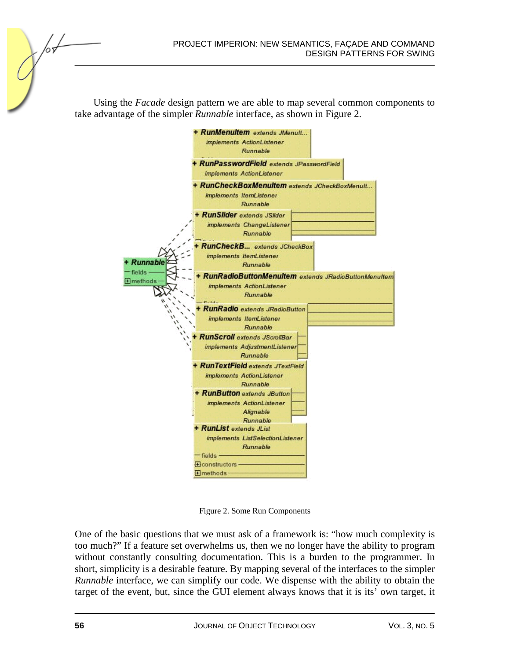Using the *Facade* design pattern we are able to map several common components to take advantage of the simpler *Runnable* interface, as shown in Figure 2.



Figure 2. Some Run Components

One of the basic questions that we must ask of a framework is: "how much complexity is too much?" If a feature set overwhelms us, then we no longer have the ability to program without constantly consulting documentation. This is a burden to the programmer. In short, simplicity is a desirable feature. By mapping several of the interfaces to the simpler *Runnable* interface, we can simplify our code. We dispense with the ability to obtain the target of the event, but, since the GUI element always knows that it is its' own target, it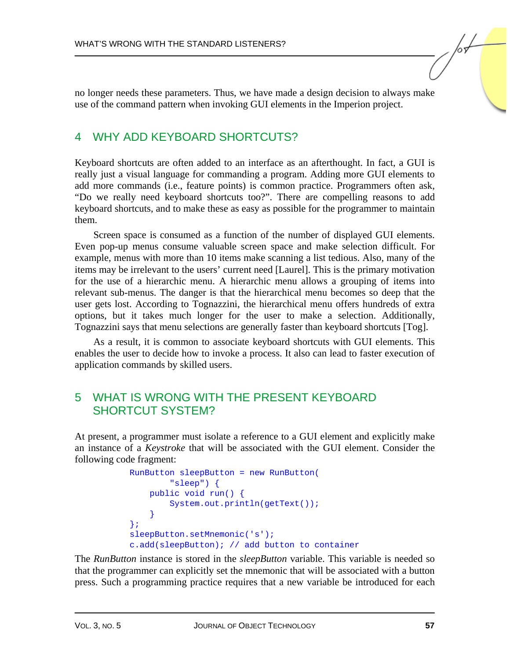no longer needs these parameters. Thus, we have made a design decision to always make use of the command pattern when invoking GUI elements in the Imperion project.

#### 4 WHY ADD KEYBOARD SHORTCUTS?

Keyboard shortcuts are often added to an interface as an afterthought. In fact, a GUI is really just a visual language for commanding a program. Adding more GUI elements to add more commands (i.e., feature points) is common practice. Programmers often ask, "Do we really need keyboard shortcuts too?". There are compelling reasons to add keyboard shortcuts, and to make these as easy as possible for the programmer to maintain them.

Screen space is consumed as a function of the number of displayed GUI elements. Even pop-up menus consume valuable screen space and make selection difficult. For example, menus with more than 10 items make scanning a list tedious. Also, many of the items may be irrelevant to the users' current need [Laurel]. This is the primary motivation for the use of a hierarchic menu. A hierarchic menu allows a grouping of items into relevant sub-menus. The danger is that the hierarchical menu becomes so deep that the user gets lost. According to Tognazzini, the hierarchical menu offers hundreds of extra options, but it takes much longer for the user to make a selection. Additionally, Tognazzini says that menu selections are generally faster than keyboard shortcuts [Tog].

As a result, it is common to associate keyboard shortcuts with GUI elements. This enables the user to decide how to invoke a process. It also can lead to faster execution of application commands by skilled users.

#### 5 WHAT IS WRONG WITH THE PRESENT KEYBOARD SHORTCUT SYSTEM?

At present, a programmer must isolate a reference to a GUI element and explicitly make an instance of a *Keystroke* that will be associated with the GUI element. Consider the following code fragment:

```
 RunButton sleepButton = new RunButton( 
                 "sleep") { 
             public void run() { 
                 System.out.println(getText()); 
 } 
         }; 
        sleepButton.setMnemonic('s');
         c.add(sleepButton); // add button to container
```
The *RunButton* instance is stored in the *sleepButton* variable. This variable is needed so that the programmer can explicitly set the mnemonic that will be associated with a button press. Such a programming practice requires that a new variable be introduced for each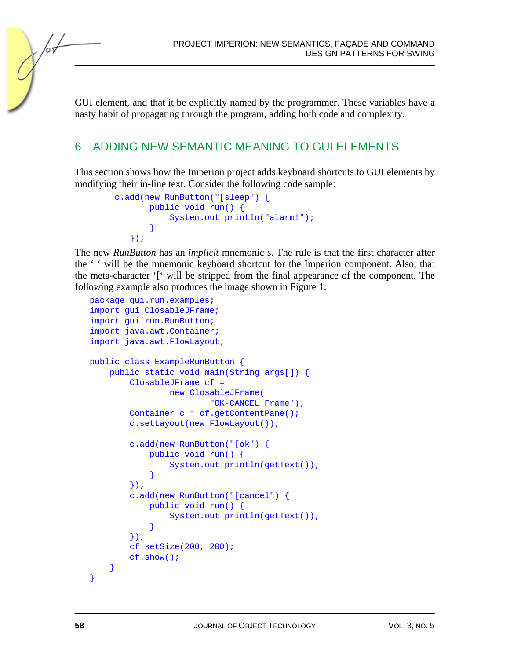PROJECT IMPERION: NEW SEMANTICS, FAÇADE AND COMMAND DESIGN PATTERNS FOR SWING

GUI element, and that it be explicitly named by the programmer. These variables have a nasty habit of propagating through the program, adding both code and complexity.

#### 6 ADDING NEW SEMANTIC MEANING TO GUI ELEMENTS

This section shows how the Imperion project adds keyboard shortcuts to GUI elements by modifying their in-line text. Consider the following code sample:

```
 c.add(new RunButton("[sleep") { 
            public void run() { 
                System.out.println("alarm!"); 
 } 
        });
```
The new *RunButton* has an *implicit* mnemonic s. The rule is that the first character after the '[' will be the mnemonic keyboard shortcut for the Imperion component. Also, that the meta-character '[' will be stripped from the final appearance of the component. The following example also produces the image shown in Figure 1:

```
package gui.run.examples; 
import gui.ClosableJFrame; 
import gui.run.RunButton; 
import java.awt.Container; 
import java.awt.FlowLayout; 
public class ExampleRunButton { 
     public static void main(String args[]) { 
         ClosableJFrame cf = 
                 new ClosableJFrame( 
                          "OK-CANCEL Frame"); 
        Container c = cf.getContentPlane();
         c.setLayout(new FlowLayout()); 
         c.add(new RunButton("[ok") { 
             public void run() { 
                 System.out.println(getText()); 
 } 
         }); 
         c.add(new RunButton("[cancel") { 
             public void run() { 
                 System.out.println(getText()); 
 } 
         }); 
         cf.setSize(200, 200); 
         cf.show(); 
 } 
}
```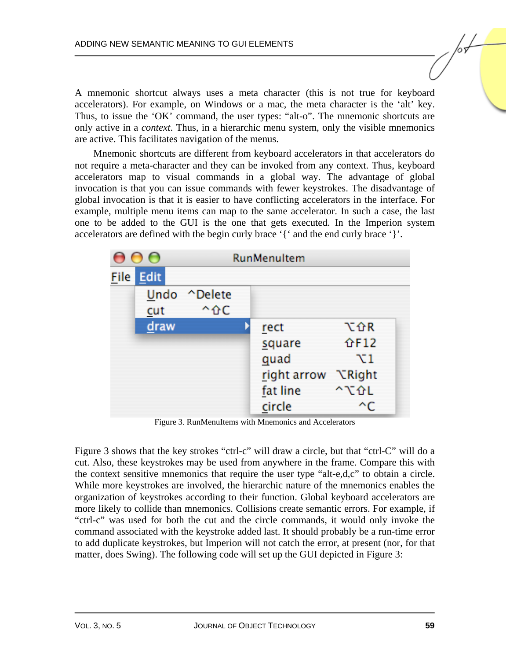A mnemonic shortcut always uses a meta character (this is not true for keyboard accelerators). For example, on Windows or a mac, the meta character is the 'alt' key. Thus, to issue the 'OK' command, the user types: "alt-o". The mnemonic shortcuts are only active in a *context*. Thus, in a hierarchic menu system, only the visible mnemonics are active. This facilitates navigation of the menus.

Mnemonic shortcuts are different from keyboard accelerators in that accelerators do not require a meta-character and they can be invoked from any context. Thus, keyboard accelerators map to visual commands in a global way. The advantage of global invocation is that you can issue commands with fewer keystrokes. The disadvantage of global invocation is that it is easier to have conflicting accelerators in the interface. For example, multiple menu items can map to the same accelerator. In such a case, the last one to be added to the GUI is the one that gets executed. In the Imperion system accelerators are defined with the begin curly brace '{' and the end curly brace '}'.

| $\mathbf{\Theta} \, \mathbf{\Theta} \, \mathbf{\Theta}$ |           | RunMenultem  |  |             |               |  |
|---------------------------------------------------------|-----------|--------------|--|-------------|---------------|--|
|                                                         | File Edit |              |  |             |               |  |
|                                                         |           | Undo ^Delete |  |             |               |  |
|                                                         | cut       | 个 介 C        |  |             |               |  |
|                                                         | draw      |              |  | rect        | て企R           |  |
|                                                         |           |              |  | square      | <b>介F12</b>   |  |
|                                                         |           |              |  | quad        | $\chi_1$      |  |
|                                                         |           |              |  | right arrow | <b>NRight</b> |  |
|                                                         |           |              |  | fat line    | ^て企L          |  |
|                                                         |           |              |  | circle      | ^C            |  |

Figure 3. RunMenuItems with Mnemonics and Accelerators

Figure 3 shows that the key strokes "ctrl-c" will draw a circle, but that "ctrl-C" will do a cut. Also, these keystrokes may be used from anywhere in the frame. Compare this with the context sensitive mnemonics that require the user type "alt-e,d,c" to obtain a circle. While more keystrokes are involved, the hierarchic nature of the mnemonics enables the organization of keystrokes according to their function. Global keyboard accelerators are more likely to collide than mnemonics. Collisions create semantic errors. For example, if "ctrl-c" was used for both the cut and the circle commands, it would only invoke the command associated with the keystroke added last. It should probably be a run-time error to add duplicate keystrokes, but Imperion will not catch the error, at present (nor, for that matter, does Swing). The following code will set up the GUI depicted in Figure 3: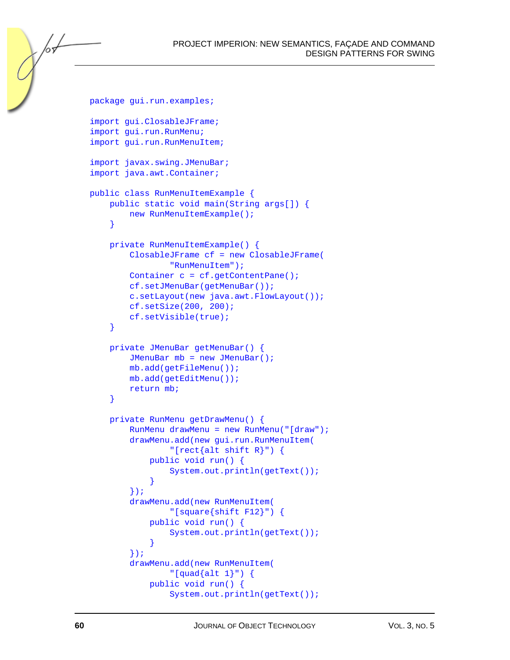```
package gui.run.examples;
import gui.ClosableJFrame; 
import gui.run.RunMenu; 
import gui.run.RunMenuItem; 
import javax.swing.JMenuBar; 
import java.awt.Container; 
public class RunMenuItemExample { 
     public static void main(String args[]) { 
        new RunMenuItemExample();
     } 
     private RunMenuItemExample() { 
         ClosableJFrame cf = new ClosableJFrame( 
                  "RunMenuItem"); 
         Container c = cf.getContentPane(); 
         cf.setJMenuBar(getMenuBar()); 
         c.setLayout(new java.awt.FlowLayout()); 
         cf.setSize(200, 200); 
         cf.setVisible(true); 
     } 
     private JMenuBar getMenuBar() { 
         JMenuBar mb = new JMenuBar(); 
         mb.add(getFileMenu()); 
         mb.add(getEditMenu()); 
         return mb; 
     } 
     private RunMenu getDrawMenu() { 
         RunMenu drawMenu = new RunMenu("[draw"); 
         drawMenu.add(new gui.run.RunMenuItem( 
                  "[rect{alt shift R}") { 
             public void run() { 
                  System.out.println(getText()); 
 } 
         }); 
         drawMenu.add(new RunMenuItem( 
                  "[square{shift F12}") { 
             public void run() { 
                  System.out.println(getText()); 
 } 
         }); 
         drawMenu.add(new RunMenuItem( 
                 "[quad[4] public void run() { 
                  System.out.println(getText());
```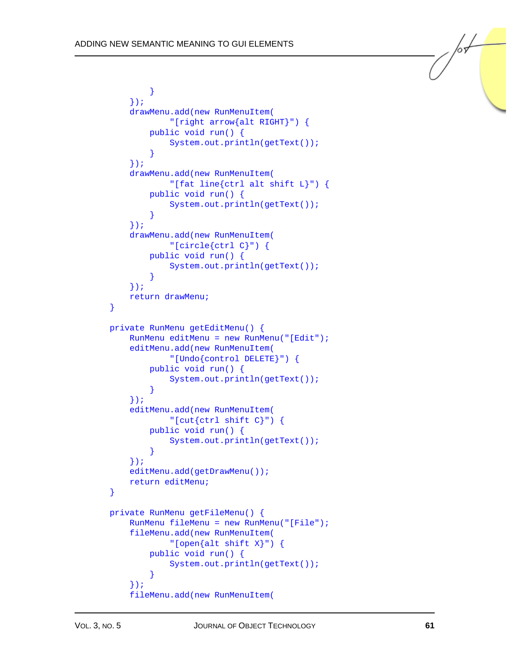```
 } 
         }); 
         drawMenu.add(new RunMenuItem( 
                 "[right arrow{alt RIGHT}") { 
             public void run() { 
                 System.out.println(getText()); 
 } 
        }); 
         drawMenu.add(new RunMenuItem( 
                 "[fat line{ctrl alt shift L}") { 
            public void run() { 
                 System.out.println(getText()); 
 } 
         }); 
         drawMenu.add(new RunMenuItem( 
                 "[circle{ctrl C}") { 
             public void run() { 
                 System.out.println(getText()); 
 } 
         }); 
         return drawMenu; 
     } 
    private RunMenu getEditMenu() { 
         RunMenu editMenu = new RunMenu("[Edit"); 
         editMenu.add(new RunMenuItem( 
                 "[Undo{control DELETE}") { 
            public void run() { 
                 System.out.println(getText()); 
 } 
         }); 
         editMenu.add(new RunMenuItem( 
                "[cut\{\text{ctrl shift C}\}") \{ public void run() { 
                 System.out.println(getText()); 
 } 
         }); 
        editMenu.add(getDrawMenu());
        return editMenu; 
     } 
    private RunMenu getFileMenu() { 
         RunMenu fileMenu = new RunMenu("[File"); 
         fileMenu.add(new RunMenuItem( 
                 "[open{alt shift X}") { 
             public void run() { 
                 System.out.println(getText()); 
 } 
         }); 
         fileMenu.add(new RunMenuItem(
```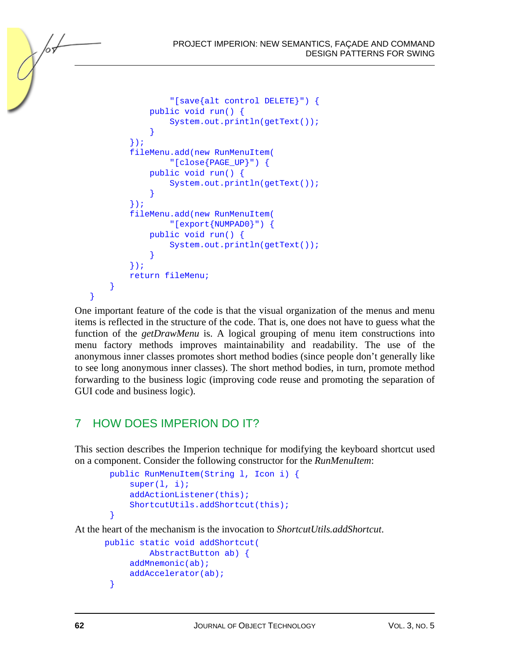```
PROJECT IMPERION: NEW SEMANTICS, FAÇADE AND COMMAND 
                           DESIGN PATTERNS FOR SWING
```

```
 "[save{alt control DELETE}") { 
             public void run() { 
                 System.out.println(getText()); 
 } 
         }); 
         fileMenu.add(new RunMenuItem( 
                 "[close{PAGE_UP}") { 
             public void run() { 
                 System.out.println(getText()); 
 } 
         }); 
         fileMenu.add(new RunMenuItem( 
                 "[export{NUMPAD0}") { 
             public void run() { 
                 System.out.println(getText()); 
 } 
         }); 
         return fileMenu; 
 } 
}
```
One important feature of the code is that the visual organization of the menus and menu items is reflected in the structure of the code. That is, one does not have to guess what the function of the *getDrawMenu* is. A logical grouping of menu item constructions into menu factory methods improves maintainability and readability. The use of the anonymous inner classes promotes short method bodies (since people don't generally like to see long anonymous inner classes). The short method bodies, in turn, promote method forwarding to the business logic (improving code reuse and promoting the separation of GUI code and business logic).

## 7 HOW DOES IMPERION DO IT?

This section describes the Imperion technique for modifying the keyboard shortcut used on a component. Consider the following constructor for the *RunMenuItem*:

```
 public RunMenuItem(String l, Icon i) { 
        super(1, i); addActionListener(this); 
        ShortcutUtils.addShortcut(this);
 }
```
At the heart of the mechanism is the invocation to *ShortcutUtils.addShortcut*.

```
 public static void addShortcut( 
           AbstractButton ab) { 
      addMnemonic(ab); 
      addAccelerator(ab); 
  }
```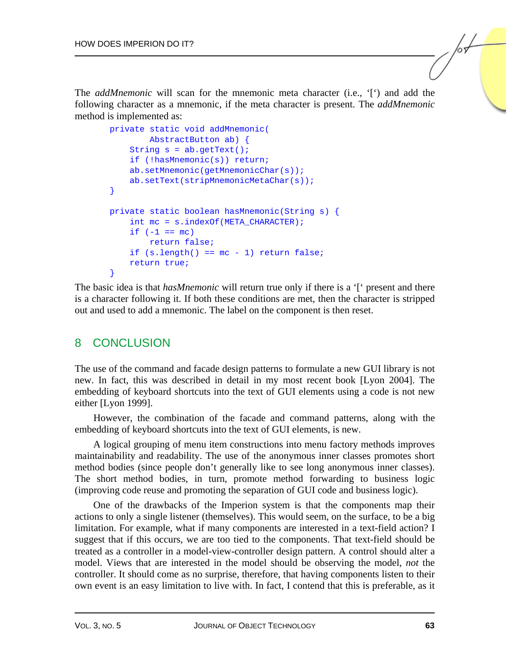The *addMnemonic* will scan for the mnemonic meta character (i.e., '[') and add the following character as a mnemonic, if the meta character is present. The *addMnemonic* method is implemented as:

```
 private static void addMnemonic( 
         AbstractButton ab) { 
    String s = ab.getText();
     if (!hasMnemonic(s)) return; 
     ab.setMnemonic(getMnemonicChar(s)); 
     ab.setText(stripMnemonicMetaChar(s)); 
 } 
 private static boolean hasMnemonic(String s) { 
    int mc = s.indexOf(META CHARACTER);
    if (-1 == mc) return false; 
    if (s.length() == mc - 1) return false;
     return true; 
 }
```
The basic idea is that *hasMnemonic* will return true only if there is a '[' present and there is a character following it. If both these conditions are met, then the character is stripped out and used to add a mnemonic. The label on the component is then reset.

#### 8 CONCLUSION

The use of the command and facade design patterns to formulate a new GUI library is not new. In fact, this was described in detail in my most recent book [Lyon 2004]. The embedding of keyboard shortcuts into the text of GUI elements using a code is not new either [Lyon 1999].

However, the combination of the facade and command patterns, along with the embedding of keyboard shortcuts into the text of GUI elements, is new.

A logical grouping of menu item constructions into menu factory methods improves maintainability and readability. The use of the anonymous inner classes promotes short method bodies (since people don't generally like to see long anonymous inner classes). The short method bodies, in turn, promote method forwarding to business logic (improving code reuse and promoting the separation of GUI code and business logic).

One of the drawbacks of the Imperion system is that the components map their actions to only a single listener (themselves). This would seem, on the surface, to be a big limitation. For example, what if many components are interested in a text-field action? I suggest that if this occurs, we are too tied to the components. That text-field should be treated as a controller in a model-view-controller design pattern. A control should alter a model. Views that are interested in the model should be observing the model, *not* the controller. It should come as no surprise, therefore, that having components listen to their own event is an easy limitation to live with. In fact, I contend that this is preferable, as it